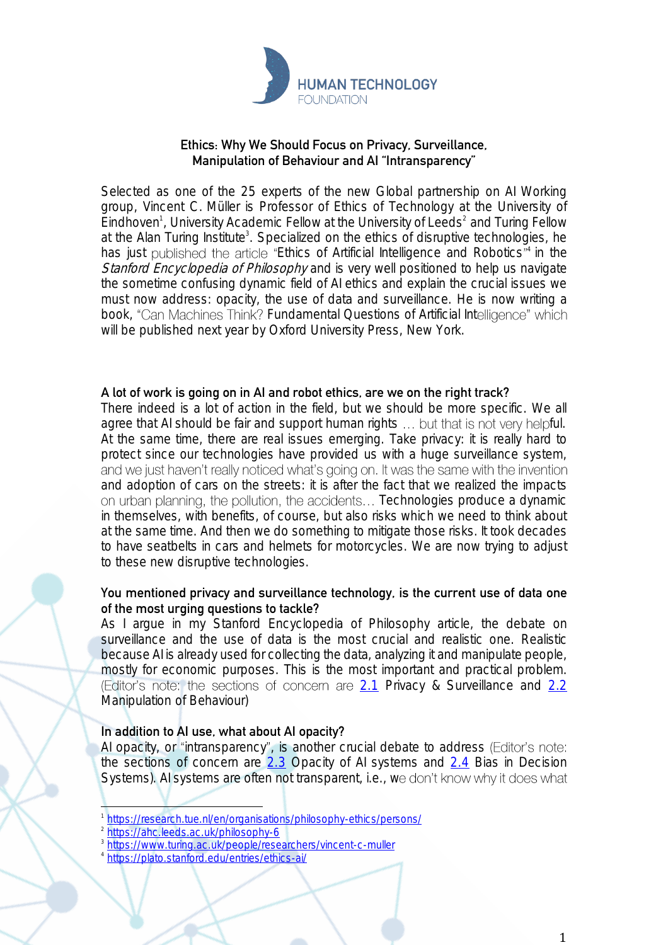

# **Ethics: Why We Should Focus on Privacy, Surveillance, Manipulation of Behaviour and AI "Intransparency"**

Selected as one of the 25 experts of the new Global partnership on AI Working group, Vincent C. Müller is Professor of Ethics of Technology at the University of Eindhoven<sup>1</sup>, University Academic Fellow at the University of Leeds<sup>2</sup> and Turing Fellow at the Alan Turing Institute<sup>3</sup>. Specialized on the ethics of disruptive technologies, he has just published the article "Ethics of Artificial Intelligence and Robotics"<sup>4</sup> in the Stanford Encyclopedia of Philosophy and is very well positioned to help us navigate the sometime confusing dynamic field of AI ethics and explain the crucial issues we must now address: opacity, the use of data and surveillance. He is now writing a book, "Can Machines Think? Fundamental Questions of Artificial Intelligence" which will be published next year by Oxford University Press, New York.

### **A lot of work is going on in AI and robot ethics, are we on the right track?**

There indeed is a lot of action in the field, but we should be more specific. We all agree that AI should be fair and support human rights ... but that is not very helpful. At the same time, there are real issues emerging. Take privacy: it is really hard to protect since our technologies have provided us with a huge surveillance system, and we just haven't really noticed what's going on. It was the same with the invention and adoption of cars on the streets: it is after the fact that we realized the impacts on urban planning, the pollution, the accidents... Technologies produce a dynamic in themselves, with benefits, of course, but also risks which we need to think about at the same time. And then we do something to mitigate those risks. It took decades to have seatbelts in cars and helmets for motorcycles. We are now trying to adjust to these new disruptive technologies.

# **You mentioned privacy and surveillance technology, is the current use of data one of the most urging questions to tackle?**

As I argue in my Stanford Encyclopedia of Philosophy article, the debate on surveillance and the use of data is the most crucial and realistic one. Realistic because AI is already used for collecting the data, analyzing it and manipulate people, mostly for economic purposes. This is the most important and practical problem. (Editor's note: the sections of concern are  $2.1$  Privacy & Surveillance and  $2.2$ Manipulation of Behaviour)

### **In addition to AI use, what about AI opacity?**

AI opacity, or "intransparency", is another crucial debate to address (Editor's note: the sections of concern are  $2.3$  Opacity of AI systems and  $2.4$  Bias in Decision Systems). Al systems are often not transparent, i.e., we don't know why it does what

3 <https://www.turing.ac.uk/people/researchers/vincent-c-muller>

<sup>1</sup> <https://research.tue.nl/en/organisations/philosophy-ethics/persons/>

<sup>2</sup> <https://ahc.leeds.ac.uk/philosophy-6>

<sup>4</sup> <https://plato.stanford.edu/entries/ethics-ai/>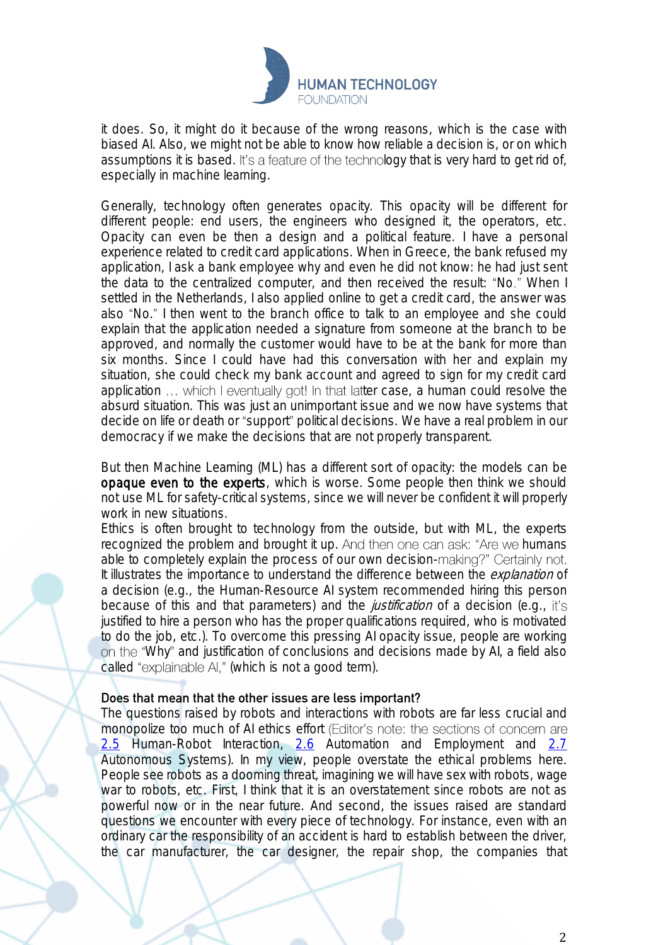

it does. So, it might do it because of the wrong reasons, which is the case with biased AI. Also, we might not be able to know how reliable a decision is, or on which assumptions it is based. It's a feature of the technology that is very hard to get rid of, especially in machine learning.

Generally, technology often generates opacity. This opacity will be different for different people: end users, the engineers who designed it, the operators, etc. Opacity can even be then a design and a political feature. I have a personal experience related to credit card applications. When in Greece, the bank refused my application, I ask a bank employee why and even he did not know: he had just sent the data to the centralized computer, and then received the result: "No." When I settled in the Netherlands, I also applied online to get a credit card, the answer was also "No." I then went to the branch office to talk to an employee and she could explain that the application needed a signature from someone at the branch to be approved, and normally the customer would have to be at the bank for more than six months. Since I could have had this conversation with her and explain my situation, she could check my bank account and agreed to sign for my credit card application ... which I eventually got! In that latter case, a human could resolve the absurd situation. This was just an unimportant issue and we now have systems that decide on life or death or "support" political decisions. We have a real problem in our democracy if we make the decisions that are not properly transparent.

But then Machine Learning (ML) has a different sort of opacity: the models can be opaque even to the experts, which is worse. Some people then think we should not use ML for safety-critical systems, since we will never be confident it will properly work in new situations.

Ethics is often brought to technology from the outside, but with ML, the experts recognized the problem and brought it up. And then one can ask: "Are we humans able to completely explain the process of our own decision-making?" Certainly not. It illustrates the importance to understand the difference between the *explanation* of a decision (e.g., the Human-Resource AI system recommended hiring this person because of this and that parameters) and the *justification* of a decision (e.g., it's justified to hire a person who has the proper qualifications required, who is motivated to do the job, etc.). To overcome this pressing AI opacity issue, people are working Why and justification of conclusions and decisions made by AI, a field also called "explainable AI," (which is not a good term).

#### **Does that mean that the other issues are less important?**

The questions raised by robots and interactions with robots are far less crucial and monopolize too much of AI ethics effort (Editor's note: the sections of concern are [2.5](https://plato.stanford.edu/entries/ethics-ai/#HumaRoboInte) Human-Robot Interaction, [2.6](https://plato.stanford.edu/entries/ethics-ai/#AutoEmpl) Automation and Employment and [2.7](https://plato.stanford.edu/entries/ethics-ai/#AutoSyst) Autonomous Systems). In my view, people overstate the ethical problems here. People see robots as a dooming threat, imagining we will have sex with robots, wage war to robots, etc. First, I think that it is an overstatement since robots are not as powerful now or in the near future. And second, the issues raised are standard questions we encounter with every piece of technology. For instance, even with an ordinary car the responsibility of an accident is hard to establish between the driver, the car manufacturer, the car designer, the repair shop, the companies that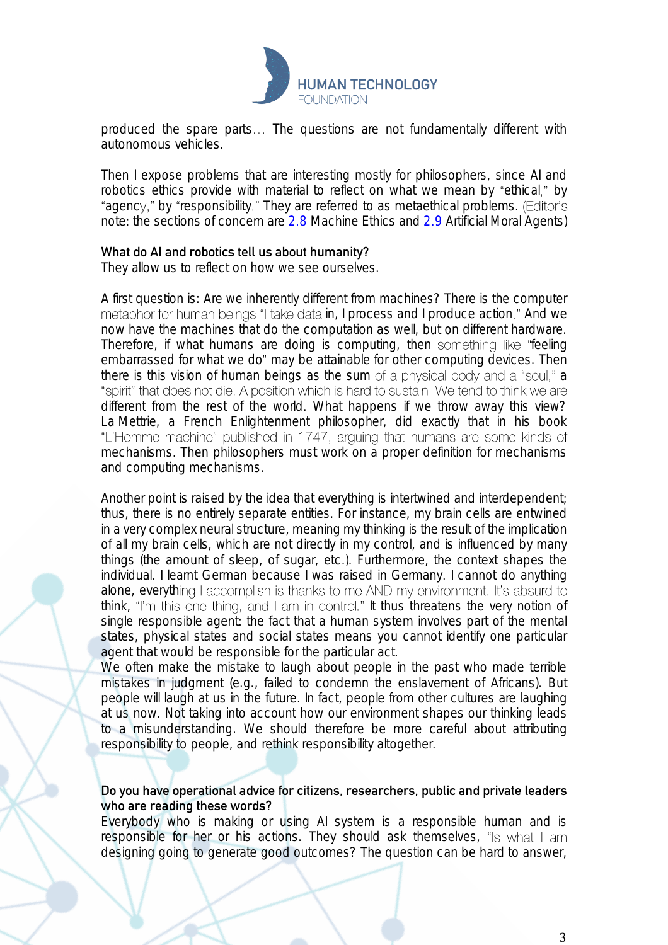

produced the spare parts... The questions are not fundamentally different with autonomous vehicles.

Then I expose problems that are interesting mostly for philosophers, since AI and robotics ethics provide with material to reflect on what we mean by "ethical," by "agency," by "responsibility." They are referred to as metaethical problems. (Editor's note: the sections of concern are [2.8](https://plato.stanford.edu/entries/ethics-ai/#MachEthi) Machine Ethics and [2.9](https://plato.stanford.edu/entries/ethics-ai/#ArtiMoraAgen) Artificial Moral Agents)

### **What do AI and robotics tell us about humanity?**

They allow us to reflect on how we see ourselves.

A first question is: Are we inherently different from machines? There is the computer metaphor for human beings "I take data in, I process and I produce action." And we now have the machines that do the computation as well, but on different hardware. Therefore, if what humans are doing is computing, then something like "feeling embarrassed for what we do" may be attainable for other computing devices. Then there is this vision of human beings as the sum of a physical body and a "soul," a "spirit" that does not die. A position which is hard to sustain. We tend to think we are different from the rest of the world. What happens if we throw away this view? La Mettrie, a French Enlightenment philosopher, did exactly that in his book "L'Homme machine" published in 1747, arguing that humans are some kinds of mechanisms. Then philosophers must work on a proper definition for mechanisms and computing mechanisms.

Another point is raised by the idea that everything is intertwined and interdependent; thus, there is no entirely separate entities. For instance, my brain cells are entwined in a very complex neural structure, meaning my thinking is the result of the implication of all my brain cells, which are not directly in my control, and is influenced by many things (the amount of sleep, of sugar, etc.). Furthermore, the context shapes the individual. I learnt German because I was raised in Germany. I cannot do anything alone, everything I accomplish is thanks to me AND my environment. It's absurd to think, "I'm this one thing, and I am in control." It thus threatens the very notion of single responsible agent: the fact that a human system involves part of the mental states, physical states and social states means you cannot identify one particular agent that would be responsible for the particular act.

We often make the mistake to laugh about people in the past who made terrible mistakes in judgment (e.g., failed to condemn the enslavement of Africans). But people will laugh at us in the future. In fact, people from other cultures are laughing at us now. Not taking into account how our environment shapes our thinking leads to a misunderstanding. We should therefore be more careful about attributing responsibility to people, and rethink responsibility altogether.

# **Do you have operational advice for citizens, researchers, public and private leaders who are reading these words?**

Everybody who is making or using AI system is a responsible human and is responsible for her or his actions. They should ask themselves, "Is what I am designing going to generate good outcomes? The question can be hard to answer,